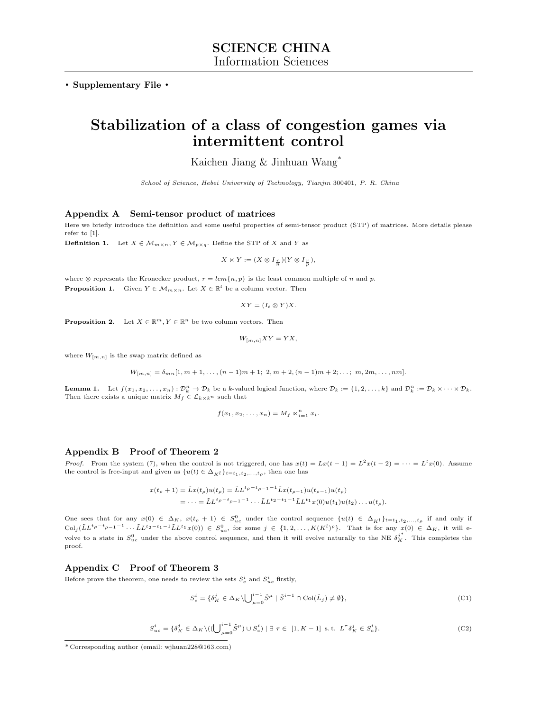. Supplementary File .

# Stabilization of a class of congestion games via intermittent control

Kaichen Jiang & Jinhuan Wang\*

School of Science, Hebei University of Technology, Tianjin 300401, P. R. China

# Appendix A Semi-tensor product of matrices

Here we briefly introduce the definition and some useful properties of semi-tensor product (STP) of matrices. More details please refer to [\[1\]](#page-3-0).

**Definition 1.** Let  $X \in \mathcal{M}_{m \times n}$ ,  $Y \in \mathcal{M}_{p \times q}$ . Define the STP of X and Y as

$$
X \ltimes Y := (X \otimes I_{\frac{r}{n}})(Y \otimes I_{\frac{r}{p}}),
$$

where  $\otimes$  represents the Kronecker product,  $r = lcm\{n, p\}$  is the least common multiple of n and p. **Proposition 1.** Given  $Y \in \mathcal{M}_{m \times n}$ . Let  $X \in \mathbb{R}^t$  be a column vector. Then

$$
XY = (I_t \otimes Y)X.
$$

**Proposition 2.** Let  $X \in \mathbb{R}^m$ ,  $Y \in \mathbb{R}^n$  be two column vectors. Then

$$
W_{[m,n]}XY = YX,
$$

where  $W_{[m,n]}$  is the swap matrix defined as

 $W_{[m,n]} = \delta_{mn} [1, m+1, \ldots, (n-1)m+1; 2, m+2, (n-1)m+2; \ldots; m, 2m, \ldots, nm].$ 

**Lemma 1.** Let  $f(x_1, x_2, \ldots, x_n) : \mathcal{D}_k^n \to \mathcal{D}_k$  be a k-valued logical function, where  $\mathcal{D}_k := \{1, 2, \ldots, k\}$  and  $\mathcal{D}_k^n := \mathcal{D}_k \times \cdots \times \mathcal{D}_k$ . Then there exists a unique matrix  $M_f \in \mathcal{L}_{k \times k^n}$  such that

$$
f(x_1, x_2, \ldots, x_n) = M_f \ltimes_{i=1}^n x_i.
$$

#### Appendix B Proof of Theorem 2

*Proof.* From the system (7), when the control is not triggered, one has  $x(t) = Lx(t-1) = L^2x(t-2) = \cdots = L^tx(0)$ . Assume the control is free-input and given as  $\{u(t) \in \Delta_{K^l}\}_{t=t_1, t_2,\ldots,t_\rho}$ , then one has

$$
x(t_{\rho}+1) = \tilde{L}x(t_{\rho})u(t_{\rho}) = \tilde{L}L^{t_{\rho}-t_{\rho-1}-1}\tilde{L}x(t_{\rho-1})u(t_{\rho-1})u(t_{\rho})
$$
  
= 
$$
\cdots = \tilde{L}L^{t_{\rho}-t_{\rho-1}-1}\cdots\tilde{L}L^{t_{2}-t_{1}-1}\tilde{L}L^{t_{1}}x(0)u(t_{1})u(t_{2})\cdots u(t_{\rho}).
$$

One sees that for any  $x(0) \in \Delta_K$ ,  $x(t_\rho + 1) \in S_{uc}^0$  under the control sequence  $\{u(t) \in \Delta_K\}_{t=t_1, t_2,...,t_\rho}$  if and only if  $\text{Col}_j(\tilde{L}L^{t\rho-t}\rho-1^{-1}\cdots\tilde{L}L^{t_2-t_1-1}\tilde{L}L^{t_1}x(0))\in S^0_{uc}$ , for some  $j\in\{1,2,\ldots,K(K^l)^{\rho}\}$ . That is for any  $x(0)\in\Delta_K$ , it will evolve to a state in  $S_{uc}^0$  under the above control sequence, and then it will evolve naturally to the NE  $\delta_K^{j^*}$ . This completes the proof.

## Appendix C Proof of Theorem 3

Before prove the theorem, one needs to review the sets  $S_c^i$  and  $S_{uc}^i$  firstly,

<span id="page-0-0"></span>
$$
S_c^i = \{ \delta_K^j \in \Delta_K \setminus \bigcup_{\mu=0}^{i-1} \tilde{S}^{\mu} \mid \tilde{S}^{i-1} \cap \text{Col}(\tilde{L}_j) \neq \emptyset \},\tag{C1}
$$

<span id="page-0-1"></span>
$$
S_{uc}^i = \{ \delta_K^j \in \Delta_K \setminus ((\bigcup_{\mu=0}^{i-1} \tilde{S}^{\mu}) \cup S_c^i) \mid \exists \ \tau \in [1, K-1] \ \text{s.t.} \ L^{\tau} \delta_K^j \in S_c^i \}. \tag{C2}
$$

<sup>\*</sup> Corresponding author (email: wjhuan228@163.com)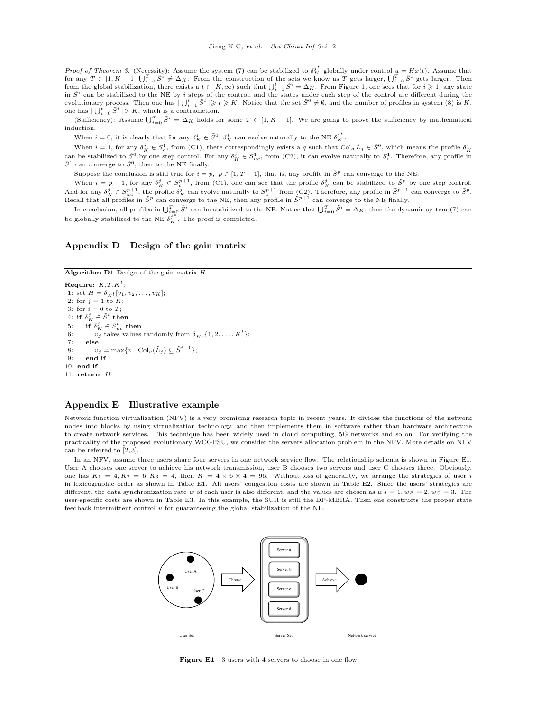*Proof of Theorem 3.* (Necessity): Assume the system (7) can be stabilized to  $\delta_K^{j^*}$  globally under control  $u = Hx(t)$ . Assume that for any  $T \in [1, K-1]$ ,  $\bigcup_{i=0}^{T} \tilde{S}^i \neq \Delta_K$ . From the construction of the sets we know as T gets larger,  $\bigcup_{i=0}^{T} \tilde{S}^i$  gets larger. Then from the global stabilization, there exists a  $t \in [K, \infty)$  such that  $\bigcup_{i=0}^t \tilde{S}^i = \Delta_K$ . From Figure 1, one sees that for  $i \geq 1$ , any state in  $\tilde{S}^i$  can be stabilized to the NE by *i* steps of the control, and the states under each step of the control are different during the evolutionary process. Then one has  $|\bigcup_{i=1}^t \tilde{S}^i| \geqslant t \geqslant K$ . Notice that the set  $\tilde{S}^0 \neq \emptyset$ , and the number of profiles in system (8) is K, one has  $|\bigcup_{i=0}^t \tilde{S}^i| > K$ , which is a contradiction.

(Sufficiency): Assume  $\bigcup_{i=0}^T \tilde{S}^i = \Delta_K$  holds for some  $T \in [1, K - 1]$ . We are going to prove the sufficiency by mathematical induction.

When  $i = 0$ , it is clearly that for any  $\delta_K^j \in \tilde{S}^0$ ,  $\delta_K^j$  can evolve naturally to the NE  $\delta_K^{j^*}$ .

When  $i = 1$ , for any  $\delta_K^j \in S_c^1$ , from [\(C1\)](#page-0-0), there correspondingly exists a q such that Col<sub>q</sub>  $\tilde{L}_j \in \tilde{S}^0$ , which means the profile  $\delta_K^j$ can be stabilized to  $\tilde{S}^0$  by one step control. For any  $\delta_K^j \in S_{uc}^1$ , from [\(C2\)](#page-0-1), it can evolve naturally to  $S_c^1$ . Therefore, any profile in  $\tilde{S}^1$  can converge to  $\tilde{S}^0$ , then to the NE finally.

Suppose the conclusion is still true for  $i = p$ ,  $p \in [1, T-1]$ , that is, any profile in  $\tilde{S}^p$  can converge to the NE.

When  $i = p + 1$ , for any  $\delta_K^j \in S_c^{p+1}$ , from [\(C1\)](#page-0-0), one can see that the profile  $\delta_K^j$  can be stabilized to  $\tilde{S}^p$  by one step control. And for any  $\delta_K^j \in S_{uc}^{p+1}$ , the profile  $\delta_K^j$  can evolve naturally to  $S_c^{p+1}$  from [\(C2\)](#page-0-1). Therefore, any profile in  $\tilde{S}^{p+1}$  can converge to  $\tilde{S}^p$ .<br>Recall that all profiles in  $\tilde{S}^p$  can converge to t

In conclusion, all profiles in  $\bigcup_{i=0}^T \tilde{S}^i$  can be stabilized to the NE. Notice that  $\bigcup_{i=0}^T \tilde{S}^i = \Delta_K$ , then the dynamic system (7) can be globally stabilized to the NE  $\delta_K^{j*}$ . The proof is completed.

# Appendix D Design of the gain matrix

```
Algorithm D1 Design of the gain matrix H
```

```
Require: K,T,K^l;
 1: set H = \delta_{Kl} [v_1, v_2, \dots, v_K];2: for j = 1 to K;
 3: for i = 0 to T:
 4: if \delta^j_K \in \tilde{S}^i then
 5: if \delta_K^j \in S_{uc}^i then
 6: v_j takes values randomly from \delta_{K^l}\{1, 2, ..., K^l\};<br>7: else
        else
8: v_j = \max\{v \mid \text{Col}_v(\tilde{L}_j) \subseteq \tilde{S}^{i-1}\};<br>9: end if
        end if
10: end if
11: return HΞ
                                                                    −<br>−1
                                                   Ξ
                                                     L
                                                       j
                                      ⋯ ⋯
```
#### Appendix E Illustrative example

Network function virtualization (NFV) is a very promising research topic in recent years. It divides the functions of the network nodes into blocks by using virtualization technology, and then implements them in software rather than hardware architecture to create network services. This technique has been widely used in cloud computing, 5G networks and so on. For verifying the practicality of the proposed evolutionary WCGPSU, we consider the servers allocation problem in the NFV. More details on NFV can be referred to [\[2,](#page-3-1) [3\]](#page-3-2).

Ξ  $\overline{\phantom{0}}$ j

Ξ  $\overline{\phantom{0}}$ <sup>0</sup>)

<span id="page-1-0"></span>In an NFV, assume three users share four servers in one network service flow. The relationship schema is shown in Figure [E1.](#page-1-0) User A chooses one server to achieve his network transmission, user B chooses two servers and user C chooses three. Obviously, one has  $K_1 = 4, K_2 = 6, K_3 = 4$ , then  $K = 4 \times 6 \times 4 = 96$ . Without loss of generality, we arrange the strategies of user i in lexicographic order as shown in Table [E1.](#page-2-0) All users' congestion costs are shown in Table [E2.](#page-2-1) Since the users' strategies are different, the data synchronization rate w of each user is also different, and the values are chosen as  $w_A = 1, w_B = 2, w_C = 3$ . The user-specific costs are shown in Table [E3.](#page-2-2) In this example, the SUR is still the DP-MBRA. Then one constructs the proper state feedback intermittent control u for guaranteeing the global stabilization of the NE.



Figure E1 3 users with 4 servers to choose in one flow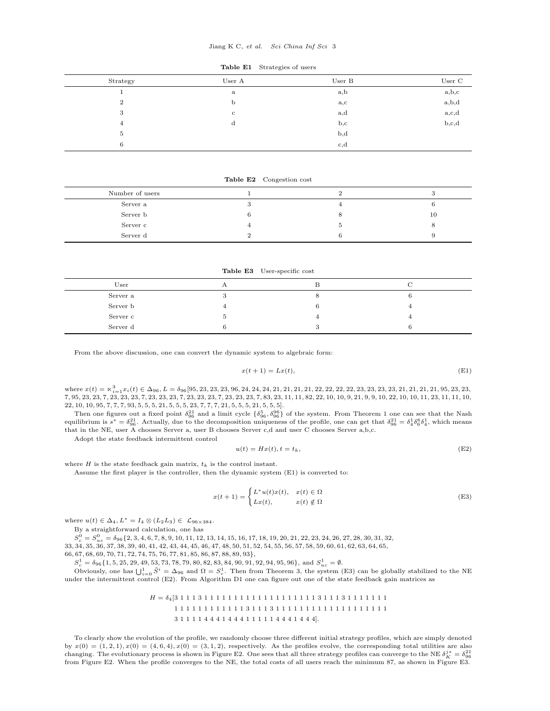#### Jiang K C, et al. Sci China Inf Sci 3

### Table E1 Strategies of users

<span id="page-2-0"></span>

| Strategy       | User A       | User B       | User C                     |
|----------------|--------------|--------------|----------------------------|
|                | a            | a, b         | $_{\rm a,b,c}$             |
| $\overline{2}$ | b            | $_{\rm a,c}$ | $_{\rm a,b,d}$             |
| 3              | $\mathbf{c}$ | a,d          | $_{\rm a,c,d}^{\rm a,c,d}$ |
| $\overline{4}$ | d            | $_{\rm b,c}$ |                            |
| 5              |              | $_{\rm b,d}$ |                            |
| 6              |              | c,d          |                            |

Table E2 Congestion cost

<span id="page-2-1"></span>

| Number of users |  |    |
|-----------------|--|----|
| Server a        |  |    |
| Server b        |  | 10 |
| Server c        |  |    |
| Server d        |  |    |

Table E3 User-specific cost

<span id="page-2-2"></span>

| User     |    |  |
|----------|----|--|
|          |    |  |
| Server a |    |  |
| Server b |    |  |
| Server c | 4  |  |
| Server d | s. |  |

From the above discussion, one can convert the dynamic system to algebraic form:

<span id="page-2-3"></span>
$$
x(t+1) = Lx(t),\tag{E1}
$$

where x(t) = n<sup>3</sup> <sup>i</sup>=1xi(t) ∈ ∆96, L = δ96[95, 23, 23, 23, 96, 24, 24, 24, 21, 21, 21, 21, 22, 22, 22, 22, 23, 23, 23, 23, 21, 21, 21, 21, 95, 23, 23, 7, 95, 23, 23, 7, 23, 23, 23, 7, 23, 23, 23, 7, 23, 23, 23, 7, 23, 23, 23, 7, 83, 23, 11, 11, 82, 22, 10, 10, 9, 21, 9, 9, 10, 22, 10, 10, 11, 23, 11, 11, 10, 22, 10, 10, 95, 7, 7, 7, 93, 5, 5, 5, 21, 5, 5, 5, 23, 7, 7, 7, 21, 5, 5, 5, 21, 5, 5, 5].

Then one figures out a fixed point  $\delta_{96}^{21}$  and a limit cycle  $\{\delta_{96}^5,\delta_{96}^{96}\}$  of the system. From Theorem 1 one can see that the Nash equilibrium is  $s^* = \delta_{96}^{21}$ . Actually, due to the decomposition uniqueness of the profile, one can get that  $\delta_{96}^{21} = \delta_4^1 \delta_6^6 \delta_4^1$ , which means that in the NE, user A chooses Server a, user B chooses Server c,d and user C chooses Server a,b,c.

Adopt the state feedback intermittent control

<span id="page-2-5"></span>
$$
u(t) = Hx(t), t = t_k,
$$
\n(E2)

where  $H$  is the state feedback gain matrix,  $t_k$  is the control instant.

Assume the first player is the controller, then the dynamic system [\(E1\)](#page-2-3) is converted to:

<span id="page-2-4"></span>
$$
x(t+1) = \begin{cases} L^*u(t)x(t), & x(t) \in \Omega \\ Lx(t), & x(t) \notin \Omega \end{cases}
$$
 (E3)

where  $u(t) \in \Delta_4$ ,  $L^* = I_4 \otimes (L_2L_3) \in \mathcal{L}_{96\times384}$ .

By a straightforward calculation, one has

 $S_{c}^{0}=S_{uc}^{0}=\delta_{96}\{2,3,4,6,7,8,9,10,11,12,13,14,15,16,17,18,19,20,21,22,23,24,26,27,28,30,31,32,32,33\}$ 33, 34, 35, 36, 37, 38, 39, 40, 41, 42, 43, 44, 45, 46, 47, 48, 50, 51, 52, 54, 55, 56, 57, 58, 59, 60, 61, 62, 63, 64, 65, 66, 67, 68, 69, 70, 71, 72, 74, 75, 76, 77, 81, 85, 86, 87, 88, 89, 93},

 $S_c^1 = \delta_{96} \{1, 5, 25, 29, 49, 53, 73, 78, 79, 80, 82, 83, 84, 90, 91, 92, 94, 95, 96\}, \text{ and } S_{uc}^1 = \emptyset.$ 

Obviously, one has  $\bigcup_{i=0}^1 \tilde{S}^i = \Delta_{96}$  and  $\Omega = S_c^1$ . Then from Theorem 3, the system [\(E3\)](#page-2-4) can be globally stabilized to the NE under the intermittent control [\(E2\)](#page-2-5). From Algorithm [D1](#page-1-1) one can figure out one of the state feedback gain matrices as

> H = δ4[3 1 1 1 3 1 1 1 1 1 1 1 1 1 1 1 1 1 1 1 1 1 1 1 3 1 1 1 3 1 1 1 1 1 1 1 1 1 1 1 1 1 1 1 1 1 1 1 3 1 1 1 3 1 1 1 1 1 1 1 1 1 1 1 1 1 1 1 1 1 1 1 3 1 1 1 1 4 4 4 1 4 4 4 1 1 1 1 1 4 4 4 1 4 4 4].

To clearly show the evolution of the profile, we randomly choose three different initial strategy profiles, which are simply denoted by  $x(0) = (1, 2, 1), x(0) = (4, 6, 4), x(0) = (3, 1, 2),$  respectively. As the profiles evolve, the corresponding total utilities are also changing. The evolutionary process is shown in Figure [E2.](#page-3-3) One sees that all three strategy profiles can converge to the NE  $\delta_K^j = \delta_{96}^{34}$ from Figure [E2.](#page-3-3) When the profile converges to the NE, the total costs of all users reach the minimum 87, as shown in Figure [E3.](#page-3-3)